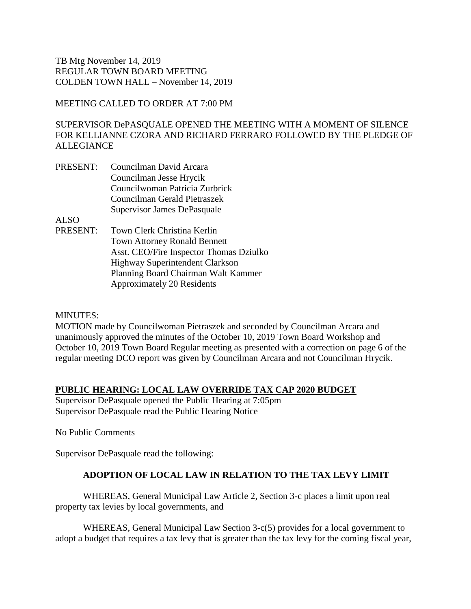## MEETING CALLED TO ORDER AT 7:00 PM

SUPERVISOR DePASQUALE OPENED THE MEETING WITH A MOMENT OF SILENCE FOR KELLIANNE CZORA AND RICHARD FERRARO FOLLOWED BY THE PLEDGE OF **ALLEGIANCE** 

PRESENT: Councilman David Arcara Councilman Jesse Hrycik Councilwoman Patricia Zurbrick Councilman Gerald Pietraszek Supervisor James DePasquale

ALSO

PRESENT: Town Clerk Christina Kerlin Town Attorney Ronald Bennett Asst. CEO/Fire Inspector Thomas Dziulko Highway Superintendent Clarkson Planning Board Chairman Walt Kammer Approximately 20 Residents

#### MINUTES:

MOTION made by Councilwoman Pietraszek and seconded by Councilman Arcara and unanimously approved the minutes of the October 10, 2019 Town Board Workshop and October 10, 2019 Town Board Regular meeting as presented with a correction on page 6 of the regular meeting DCO report was given by Councilman Arcara and not Councilman Hrycik.

### **PUBLIC HEARING: LOCAL LAW OVERRIDE TAX CAP 2020 BUDGET**

Supervisor DePasquale opened the Public Hearing at 7:05pm Supervisor DePasquale read the Public Hearing Notice

No Public Comments

Supervisor DePasquale read the following:

# **ADOPTION OF LOCAL LAW IN RELATION TO THE TAX LEVY LIMIT**

WHEREAS, General Municipal Law Article 2, Section 3-c places a limit upon real property tax levies by local governments, and

WHEREAS, General Municipal Law Section 3-c(5) provides for a local government to adopt a budget that requires a tax levy that is greater than the tax levy for the coming fiscal year,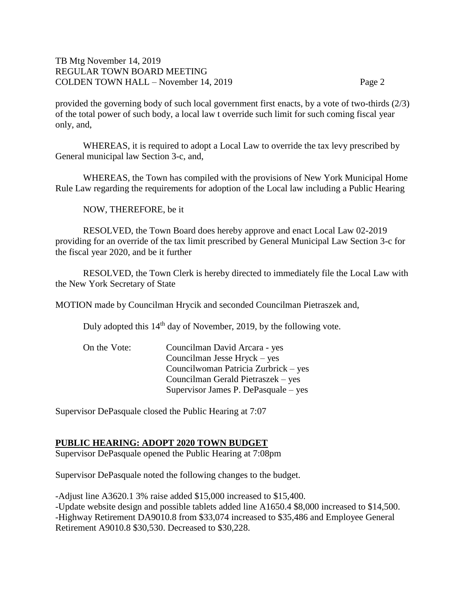provided the governing body of such local government first enacts, by a vote of two-thirds (2/3) of the total power of such body, a local law t override such limit for such coming fiscal year only, and,

WHEREAS, it is required to adopt a Local Law to override the tax levy prescribed by General municipal law Section 3-c, and,

WHEREAS, the Town has compiled with the provisions of New York Municipal Home Rule Law regarding the requirements for adoption of the Local law including a Public Hearing

NOW, THEREFORE, be it

RESOLVED, the Town Board does hereby approve and enact Local Law 02-2019 providing for an override of the tax limit prescribed by General Municipal Law Section 3-c for the fiscal year 2020, and be it further

RESOLVED, the Town Clerk is hereby directed to immediately file the Local Law with the New York Secretary of State

MOTION made by Councilman Hrycik and seconded Councilman Pietraszek and,

Duly adopted this 14<sup>th</sup> day of November, 2019, by the following vote.

| On the Vote: | Councilman David Arcara - yes        |
|--------------|--------------------------------------|
|              | Councilman Jesse Hryck – yes         |
|              | Councilwoman Patricia Zurbrick – yes |
|              | Councilman Gerald Pietraszek – yes   |
|              | Supervisor James P. DePasquale – yes |

Supervisor DePasquale closed the Public Hearing at 7:07

### **PUBLIC HEARING: ADOPT 2020 TOWN BUDGET**

Supervisor DePasquale opened the Public Hearing at 7:08pm

Supervisor DePasquale noted the following changes to the budget.

-Adjust line A3620.1 3% raise added \$15,000 increased to \$15,400. -Update website design and possible tablets added line A1650.4 \$8,000 increased to \$14,500. -Highway Retirement DA9010.8 from \$33,074 increased to \$35,486 and Employee General Retirement A9010.8 \$30,530. Decreased to \$30,228.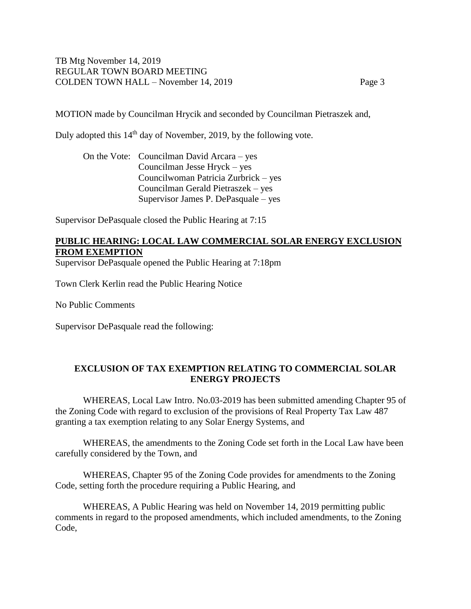MOTION made by Councilman Hrycik and seconded by Councilman Pietraszek and,

Duly adopted this 14<sup>th</sup> day of November, 2019, by the following vote.

On the Vote: Councilman David Arcara – yes Councilman Jesse Hryck – yes Councilwoman Patricia Zurbrick – yes Councilman Gerald Pietraszek – yes Supervisor James P. DePasquale – yes

Supervisor DePasquale closed the Public Hearing at 7:15

# **PUBLIC HEARING: LOCAL LAW COMMERCIAL SOLAR ENERGY EXCLUSION FROM EXEMPTION**

Supervisor DePasquale opened the Public Hearing at 7:18pm

Town Clerk Kerlin read the Public Hearing Notice

No Public Comments

Supervisor DePasquale read the following:

## **EXCLUSION OF TAX EXEMPTION RELATING TO COMMERCIAL SOLAR ENERGY PROJECTS**

WHEREAS, Local Law Intro. No.03-2019 has been submitted amending Chapter 95 of the Zoning Code with regard to exclusion of the provisions of Real Property Tax Law 487 granting a tax exemption relating to any Solar Energy Systems, and

WHEREAS, the amendments to the Zoning Code set forth in the Local Law have been carefully considered by the Town, and

WHEREAS, Chapter 95 of the Zoning Code provides for amendments to the Zoning Code, setting forth the procedure requiring a Public Hearing, and

WHEREAS, A Public Hearing was held on November 14, 2019 permitting public comments in regard to the proposed amendments, which included amendments, to the Zoning Code,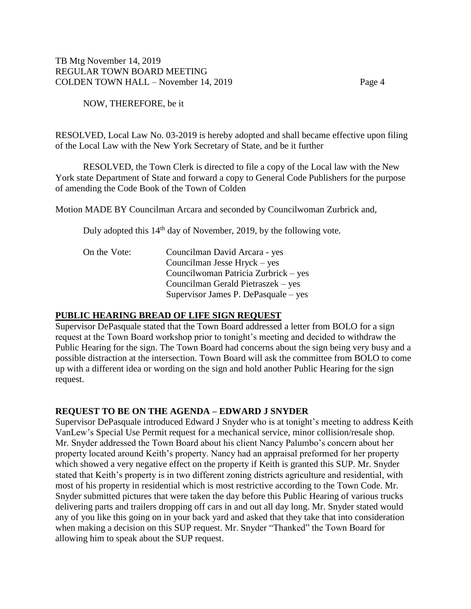NOW, THEREFORE, be it

RESOLVED, Local Law No. 03-2019 is hereby adopted and shall became effective upon filing of the Local Law with the New York Secretary of State, and be it further

RESOLVED, the Town Clerk is directed to file a copy of the Local law with the New York state Department of State and forward a copy to General Code Publishers for the purpose of amending the Code Book of the Town of Colden

Motion MADE BY Councilman Arcara and seconded by Councilwoman Zurbrick and,

Duly adopted this 14<sup>th</sup> day of November, 2019, by the following vote.

| On the Vote: | Councilman David Arcara - yes        |
|--------------|--------------------------------------|
|              | Councilman Jesse Hryck – yes         |
|              | Councilwoman Patricia Zurbrick – yes |
|              | Councilman Gerald Pietraszek – yes   |
|              | Supervisor James P. DePasquale – yes |

### **PUBLIC HEARING BREAD OF LIFE SIGN REQUEST**

Supervisor DePasquale stated that the Town Board addressed a letter from BOLO for a sign request at the Town Board workshop prior to tonight's meeting and decided to withdraw the Public Hearing for the sign. The Town Board had concerns about the sign being very busy and a possible distraction at the intersection. Town Board will ask the committee from BOLO to come up with a different idea or wording on the sign and hold another Public Hearing for the sign request.

# **REQUEST TO BE ON THE AGENDA – EDWARD J SNYDER**

Supervisor DePasquale introduced Edward J Snyder who is at tonight's meeting to address Keith VanLew's Special Use Permit request for a mechanical service, minor collision/resale shop. Mr. Snyder addressed the Town Board about his client Nancy Palumbo's concern about her property located around Keith's property. Nancy had an appraisal preformed for her property which showed a very negative effect on the property if Keith is granted this SUP. Mr. Snyder stated that Keith's property is in two different zoning districts agriculture and residential, with most of his property in residential which is most restrictive according to the Town Code. Mr. Snyder submitted pictures that were taken the day before this Public Hearing of various trucks delivering parts and trailers dropping off cars in and out all day long. Mr. Snyder stated would any of you like this going on in your back yard and asked that they take that into consideration when making a decision on this SUP request. Mr. Snyder "Thanked" the Town Board for allowing him to speak about the SUP request.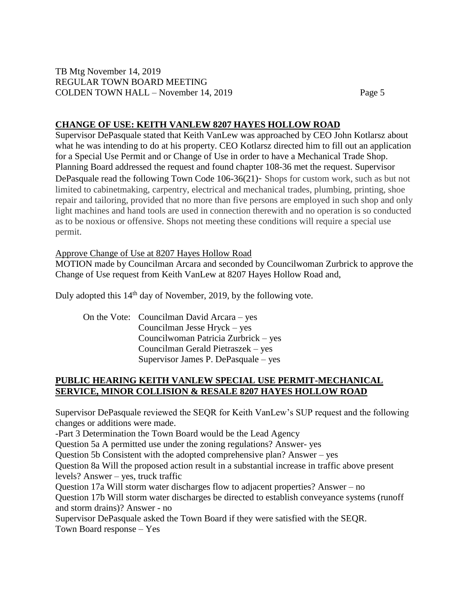# **CHANGE OF USE: KEITH VANLEW 8207 HAYES HOLLOW ROAD**

Supervisor DePasquale stated that Keith VanLew was approached by CEO John Kotlarsz about what he was intending to do at his property. CEO Kotlarsz directed him to fill out an application for a Special Use Permit and or Change of Use in order to have a Mechanical Trade Shop. Planning Board addressed the request and found chapter 108-36 met the request. Supervisor DePasquale read the following Town Code 106-36(21)- Shops for custom work, such as but not limited to cabinetmaking, carpentry, electrical and mechanical trades, plumbing, printing, shoe repair and tailoring, provided that no more than five persons are employed in such shop and only light machines and hand tools are used in connection therewith and no operation is so conducted as to be noxious or offensive. Shops not meeting these conditions will require a special use permit.

# Approve Change of Use at 8207 Hayes Hollow Road

MOTION made by Councilman Arcara and seconded by Councilwoman Zurbrick to approve the Change of Use request from Keith VanLew at 8207 Hayes Hollow Road and,

Duly adopted this 14<sup>th</sup> day of November, 2019, by the following vote.

On the Vote: Councilman David Arcara – yes Councilman Jesse Hryck – yes Councilwoman Patricia Zurbrick – yes Councilman Gerald Pietraszek – yes Supervisor James P. DePasquale – yes

# **PUBLIC HEARING KEITH VANLEW SPECIAL USE PERMIT-MECHANICAL SERVICE, MINOR COLLISION & RESALE 8207 HAYES HOLLOW ROAD**

Supervisor DePasquale reviewed the SEQR for Keith VanLew's SUP request and the following changes or additions were made.

-Part 3 Determination the Town Board would be the Lead Agency

Question 5a A permitted use under the zoning regulations? Answer- yes

Question 5b Consistent with the adopted comprehensive plan? Answer – yes

Question 8a Will the proposed action result in a substantial increase in traffic above present levels? Answer – yes, truck traffic

Question 17a Will storm water discharges flow to adjacent properties? Answer – no

Question 17b Will storm water discharges be directed to establish conveyance systems (runoff and storm drains)? Answer - no

Supervisor DePasquale asked the Town Board if they were satisfied with the SEQR. Town Board response – Yes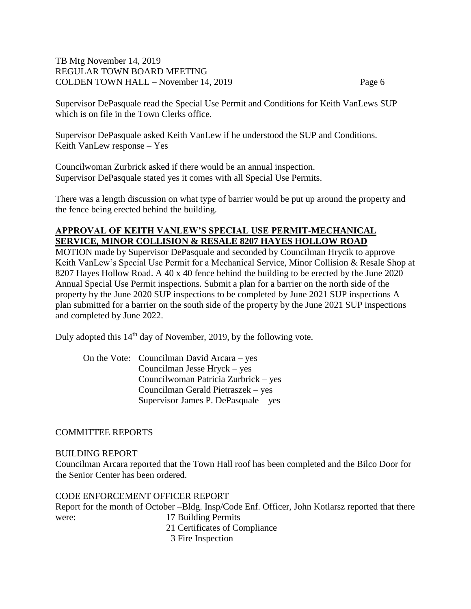Supervisor DePasquale read the Special Use Permit and Conditions for Keith VanLews SUP which is on file in the Town Clerks office.

Supervisor DePasquale asked Keith VanLew if he understood the SUP and Conditions. Keith VanLew response – Yes

Councilwoman Zurbrick asked if there would be an annual inspection. Supervisor DePasquale stated yes it comes with all Special Use Permits.

There was a length discussion on what type of barrier would be put up around the property and the fence being erected behind the building.

# **APPROVAL OF KEITH VANLEW'S SPECIAL USE PERMIT-MECHANICAL SERVICE, MINOR COLLISION & RESALE 8207 HAYES HOLLOW ROAD**

MOTION made by Supervisor DePasquale and seconded by Councilman Hrycik to approve Keith VanLew's Special Use Permit for a Mechanical Service, Minor Collision & Resale Shop at 8207 Hayes Hollow Road. A 40 x 40 fence behind the building to be erected by the June 2020 Annual Special Use Permit inspections. Submit a plan for a barrier on the north side of the property by the June 2020 SUP inspections to be completed by June 2021 SUP inspections A plan submitted for a barrier on the south side of the property by the June 2021 SUP inspections and completed by June 2022.

Duly adopted this 14<sup>th</sup> day of November, 2019, by the following vote.

On the Vote: Councilman David Arcara – yes Councilman Jesse Hryck – yes Councilwoman Patricia Zurbrick – yes Councilman Gerald Pietraszek – yes Supervisor James P. DePasquale – yes

# COMMITTEE REPORTS

### BUILDING REPORT

Councilman Arcara reported that the Town Hall roof has been completed and the Bilco Door for the Senior Center has been ordered.

# CODE ENFORCEMENT OFFICER REPORT

Report for the month of October –Bldg. Insp/Code Enf. Officer, John Kotlarsz reported that there were: 17 Building Permits 21 Certificates of Compliance

3 Fire Inspection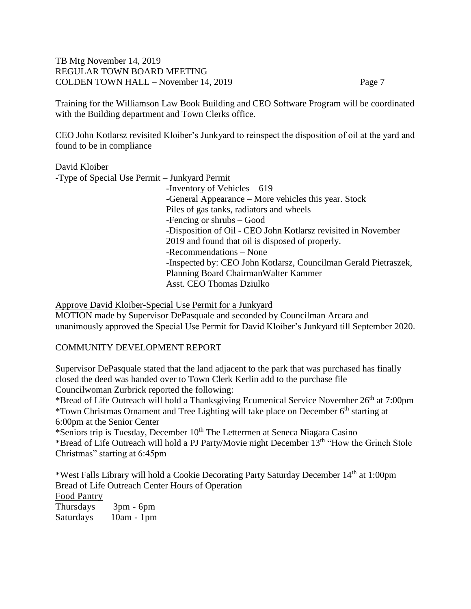Training for the Williamson Law Book Building and CEO Software Program will be coordinated with the Building department and Town Clerks office.

CEO John Kotlarsz revisited Kloiber's Junkyard to reinspect the disposition of oil at the yard and found to be in compliance

David Kloiber -Type of Special Use Permit – Junkyard Permit -Inventory of Vehicles – 619 -General Appearance – More vehicles this year. Stock Piles of gas tanks, radiators and wheels -Fencing or shrubs – Good -Disposition of Oil - CEO John Kotlarsz revisited in November 2019 and found that oil is disposed of properly. -Recommendations – None -Inspected by: CEO John Kotlarsz, Councilman Gerald Pietraszek, Planning Board ChairmanWalter Kammer Asst. CEO Thomas Dziulko

Approve David Kloiber-Special Use Permit for a Junkyard

MOTION made by Supervisor DePasquale and seconded by Councilman Arcara and unanimously approved the Special Use Permit for David Kloiber's Junkyard till September 2020.

# COMMUNITY DEVELOPMENT REPORT

Supervisor DePasquale stated that the land adjacent to the park that was purchased has finally closed the deed was handed over to Town Clerk Kerlin add to the purchase file Councilwoman Zurbrick reported the following:

\*Bread of Life Outreach will hold a Thanksgiving Ecumenical Service November  $26<sup>th</sup>$  at 7:00pm \*Town Christmas Ornament and Tree Lighting will take place on December 6<sup>th</sup> starting at 6:00pm at the Senior Center

\*Seniors trip is Tuesday, December 10<sup>th</sup> The Lettermen at Seneca Niagara Casino \*Bread of Life Outreach will hold a PJ Party/Movie night December 13th "How the Grinch Stole Christmas" starting at 6:45pm

\*West Falls Library will hold a Cookie Decorating Party Saturday December 14<sup>th</sup> at 1:00pm Bread of Life Outreach Center Hours of Operation Food Pantry Thursdays 3pm - 6pm

Saturdays 10am - 1pm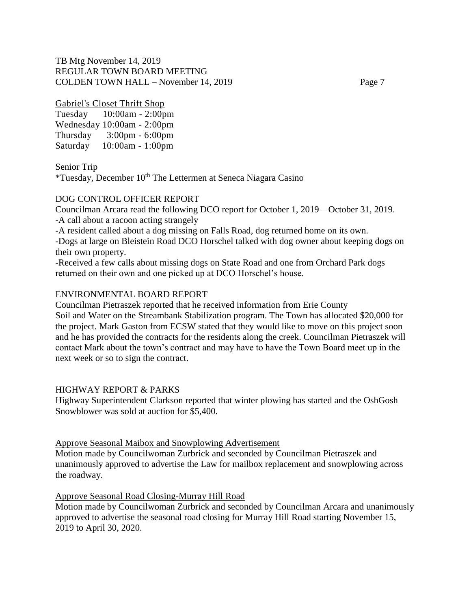Gabriel's Closet Thrift Shop

Tuesday 10:00am - 2:00pm Wednesday 10:00am - 2:00pm Thursday 3:00pm - 6:00pm Saturday 10:00am - 1:00pm

Senior Trip

\*Tuesday, December  $10^{th}$  The Lettermen at Seneca Niagara Casino

### DOG CONTROL OFFICER REPORT

Councilman Arcara read the following DCO report for October 1, 2019 – October 31, 2019. -A call about a racoon acting strangely

-A resident called about a dog missing on Falls Road, dog returned home on its own.

-Dogs at large on Bleistein Road DCO Horschel talked with dog owner about keeping dogs on their own property.

-Received a few calls about missing dogs on State Road and one from Orchard Park dogs returned on their own and one picked up at DCO Horschel's house.

#### ENVIRONMENTAL BOARD REPORT

Councilman Pietraszek reported that he received information from Erie County Soil and Water on the Streambank Stabilization program. The Town has allocated \$20,000 for the project. Mark Gaston from ECSW stated that they would like to move on this project soon and he has provided the contracts for the residents along the creek. Councilman Pietraszek will contact Mark about the town's contract and may have to have the Town Board meet up in the next week or so to sign the contract.

### HIGHWAY REPORT & PARKS

Highway Superintendent Clarkson reported that winter plowing has started and the OshGosh Snowblower was sold at auction for \$5,400.

Approve Seasonal Maibox and Snowplowing Advertisement

Motion made by Councilwoman Zurbrick and seconded by Councilman Pietraszek and unanimously approved to advertise the Law for mailbox replacement and snowplowing across the roadway.

#### Approve Seasonal Road Closing-Murray Hill Road

Motion made by Councilwoman Zurbrick and seconded by Councilman Arcara and unanimously approved to advertise the seasonal road closing for Murray Hill Road starting November 15, 2019 to April 30, 2020.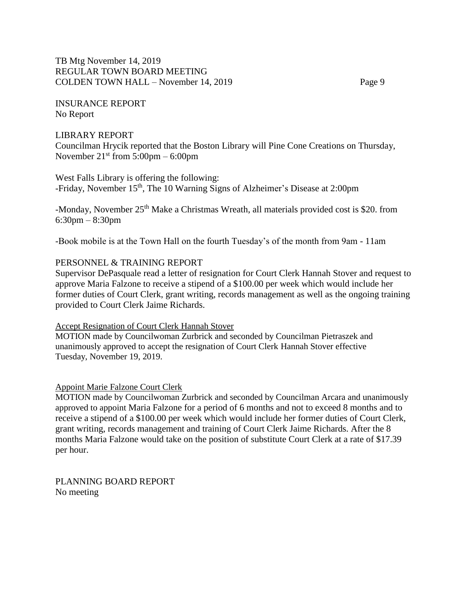INSURANCE REPORT No Report

#### LIBRARY REPORT

Councilman Hrycik reported that the Boston Library will Pine Cone Creations on Thursday, November  $21<sup>st</sup>$  from  $5:00 \text{pm} - 6:00 \text{pm}$ 

## West Falls Library is offering the following:

-Friday, November 15<sup>th</sup>, The 10 Warning Signs of Alzheimer's Disease at 2:00pm

-Monday, November 25<sup>th</sup> Make a Christmas Wreath, all materials provided cost is \$20. from 6:30pm – 8:30pm

-Book mobile is at the Town Hall on the fourth Tuesday's of the month from 9am - 11am

#### PERSONNEL & TRAINING REPORT

Supervisor DePasquale read a letter of resignation for Court Clerk Hannah Stover and request to approve Maria Falzone to receive a stipend of a \$100.00 per week which would include her former duties of Court Clerk, grant writing, records management as well as the ongoing training provided to Court Clerk Jaime Richards.

#### Accept Resignation of Court Clerk Hannah Stover

MOTION made by Councilwoman Zurbrick and seconded by Councilman Pietraszek and unanimously approved to accept the resignation of Court Clerk Hannah Stover effective Tuesday, November 19, 2019.

#### Appoint Marie Falzone Court Clerk

MOTION made by Councilwoman Zurbrick and seconded by Councilman Arcara and unanimously approved to appoint Maria Falzone for a period of 6 months and not to exceed 8 months and to receive a stipend of a \$100.00 per week which would include her former duties of Court Clerk, grant writing, records management and training of Court Clerk Jaime Richards. After the 8 months Maria Falzone would take on the position of substitute Court Clerk at a rate of \$17.39 per hour.

PLANNING BOARD REPORT No meeting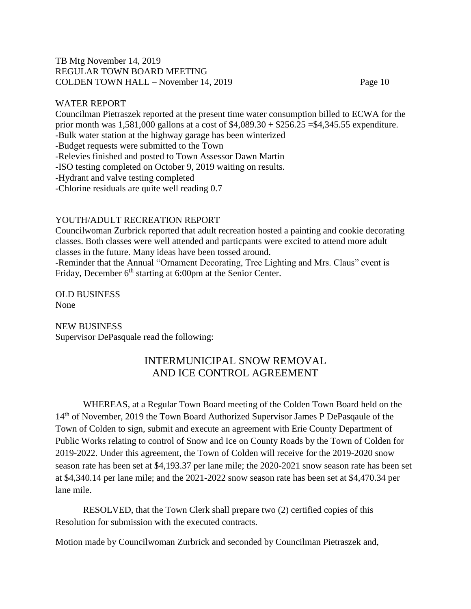### WATER REPORT

Councilman Pietraszek reported at the present time water consumption billed to ECWA for the prior month was 1,581,000 gallons at a cost of \$4,089.30 + \$256.25 =\$4,345.55 expenditure. -Bulk water station at the highway garage has been winterized -Budget requests were submitted to the Town -Relevies finished and posted to Town Assessor Dawn Martin -ISO testing completed on October 9, 2019 waiting on results. -Hydrant and valve testing completed -Chlorine residuals are quite well reading 0.7

## YOUTH/ADULT RECREATION REPORT

Councilwoman Zurbrick reported that adult recreation hosted a painting and cookie decorating classes. Both classes were well attended and particpants were excited to attend more adult classes in the future. Many ideas have been tossed around. -Reminder that the Annual "Ornament Decorating, Tree Lighting and Mrs. Claus" event is Friday, December 6<sup>th</sup> starting at 6:00pm at the Senior Center.

OLD BUSINESS None

NEW BUSINESS Supervisor DePasquale read the following:

# INTERMUNICIPAL SNOW REMOVAL AND ICE CONTROL AGREEMENT

WHEREAS, at a Regular Town Board meeting of the Colden Town Board held on the 14<sup>th</sup> of November, 2019 the Town Board Authorized Supervisor James P DePasqaule of the Town of Colden to sign, submit and execute an agreement with Erie County Department of Public Works relating to control of Snow and Ice on County Roads by the Town of Colden for 2019-2022. Under this agreement, the Town of Colden will receive for the 2019-2020 snow season rate has been set at \$4,193.37 per lane mile; the 2020-2021 snow season rate has been set at \$4,340.14 per lane mile; and the 2021-2022 snow season rate has been set at \$4,470.34 per lane mile.

RESOLVED, that the Town Clerk shall prepare two (2) certified copies of this Resolution for submission with the executed contracts.

Motion made by Councilwoman Zurbrick and seconded by Councilman Pietraszek and,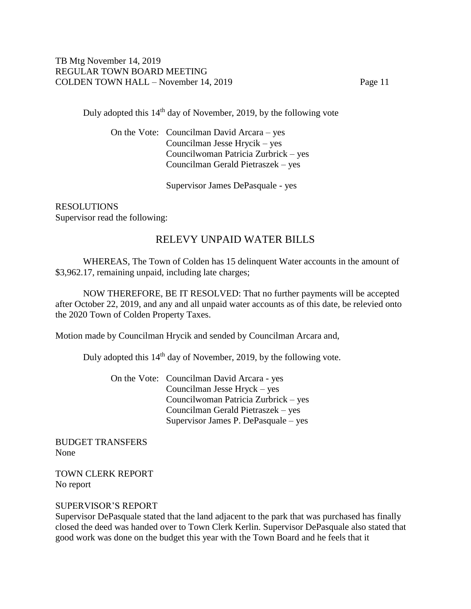Duly adopted this 14th day of November, 2019, by the following vote

On the Vote: Councilman David Arcara – yes Councilman Jesse Hrycik – yes Councilwoman Patricia Zurbrick – yes Councilman Gerald Pietraszek – yes

Supervisor James DePasquale - yes

RESOLUTIONS Supervisor read the following:

# RELEVY UNPAID WATER BILLS

WHEREAS, The Town of Colden has 15 delinquent Water accounts in the amount of \$3,962.17, remaining unpaid, including late charges;

NOW THEREFORE, BE IT RESOLVED: That no further payments will be accepted after October 22, 2019, and any and all unpaid water accounts as of this date, be relevied onto the 2020 Town of Colden Property Taxes.

Motion made by Councilman Hrycik and sended by Councilman Arcara and,

Duly adopted this 14<sup>th</sup> day of November, 2019, by the following vote.

On the Vote: Councilman David Arcara - yes Councilman Jesse Hryck – yes Councilwoman Patricia Zurbrick – yes Councilman Gerald Pietraszek – yes Supervisor James P. DePasquale – yes

BUDGET TRANSFERS None

TOWN CLERK REPORT No report

### SUPERVISOR'S REPORT

Supervisor DePasquale stated that the land adjacent to the park that was purchased has finally closed the deed was handed over to Town Clerk Kerlin. Supervisor DePasquale also stated that good work was done on the budget this year with the Town Board and he feels that it